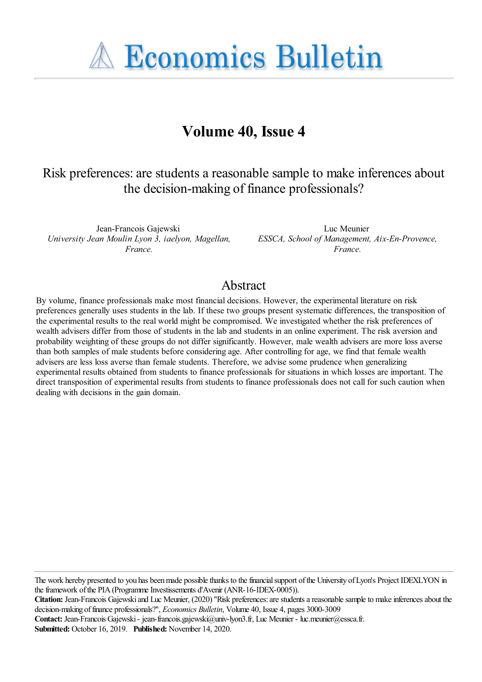

# **Volume 40, Issue 4**

# Risk preferences: are students a reasonable sample to make inferences about the decision-making of finance professionals?

Jean-Francois Gajewski *University Jean Moulin Lyon 3, iaelyon, Magellan, France.*

Luc Meunier *ESSCA, School of Management, Aix-En-Provence, France.*

### Abstract

By volume, finance professionals make most financial decisions. However, the experimental literature on risk preferences generally uses students in the lab. If these two groups present systematic differences, the transposition of the experimental results to the real world might be compromised. We investigated whether the risk preferences of wealth advisers differ from those of students in the lab and students in an online experiment. The risk aversion and probability weighting of these groups do not differ significantly. However, male wealth advisers are more loss averse than both samples of male students before considering age. After controlling for age, we find that female wealth advisers are less loss averse than female students. Therefore, we advise some prudence when generalizing experimental results obtained from students to finance professionals for situations in which losses are important. The direct transposition of experimental results from students to finance professionals does not call for such caution when dealing with decisions in the gain domain.

The work hereby presented to you has been made possible thanks to the financial support of the University of Lyon's Project IDEXLYON in the framework of the PIA (Programme Investissements d'Avenir (ANR-16-IDEX-0005)).

**Contact:** Jean-Francois Gajewski - jean-francois.gajewski@univ-lyon3.fr, Luc Meunier - luc.meunier@essca.fr.

**Submitted:** October 16, 2019. **Published:** November 14, 2020.

**Citation:** Jean-Francois Gajewski and Luc Meunier, (2020) ''Risk preferences: are students a reasonable sample to make inferences about the decision-making of finance professionals?'', *Economics Bulletin*, Volume 40, Issue 4, pages 3000-3009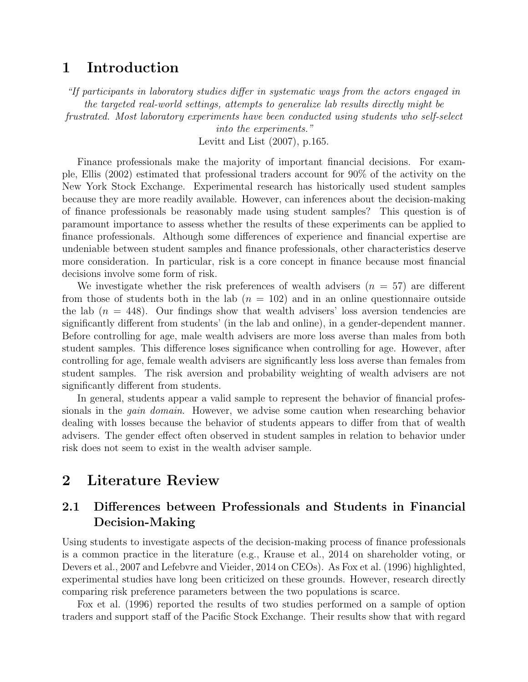### <span id="page-1-0"></span>1 Introduction

"If participants in laboratory studies differ in systematic ways from the actors engaged in the targeted real-world settings, attempts to generalize lab results directly might be frustrated. Most laboratory experiments have been conducted using students who self-select

> into the experiments." [Levitt and List \(2007\)](#page-10-0), p.165.

Finance professionals make the majority of important financial decisions. For example, [Ellis \(2002\)](#page-10-1) estimated that professional traders account for 90% of the activity on the New York Stock Exchange. Experimental research has historically used student samples because they are more readily available. However, can inferences about the decision-making of finance professionals be reasonably made using student samples? This question is of paramount importance to assess whether the results of these experiments can be applied to finance professionals. Although some differences of experience and financial expertise are undeniable between student samples and finance professionals, other characteristics deserve more consideration. In particular, risk is a core concept in finance because most financial decisions involve some form of risk.

We investigate whether the risk preferences of wealth advisers  $(n = 57)$  are different from those of students both in the lab  $(n = 102)$  and in an online questionnaire outside the lab  $(n = 448)$ . Our findings show that wealth advisers' loss aversion tendencies are significantly different from students' (in the lab and online), in a gender-dependent manner. Before controlling for age, male wealth advisers are more loss averse than males from both student samples. This difference loses significance when controlling for age. However, after controlling for age, female wealth advisers are significantly less loss averse than females from student samples. The risk aversion and probability weighting of wealth advisers are not significantly different from students.

In general, students appear a valid sample to represent the behavior of financial professionals in the *gain domain*. However, we advise some caution when researching behavior dealing with losses because the behavior of students appears to differ from that of wealth advisers. The gender effect often observed in student samples in relation to behavior under risk does not seem to exist in the wealth adviser sample.

## 2 Literature Review

### 2.1 Differences between Professionals and Students in Financial Decision-Making

Using students to investigate aspects of the decision-making process of finance professionals is a common practice in the literature (e.g., [Krause et al., 2014](#page-10-2) on shareholder voting, or [Devers et al., 2007](#page-10-3) and [Lefebvre and Vieider, 2014](#page-10-4) on CEOs). As [Fox et al. \(1996\)](#page-10-5) highlighted, experimental studies have long been criticized on these grounds. However, research directly comparing risk preference parameters between the two populations is scarce.

[Fox et al. \(1996\)](#page-10-5) reported the results of two studies performed on a sample of option traders and support staff of the Pacific Stock Exchange. Their results show that with regard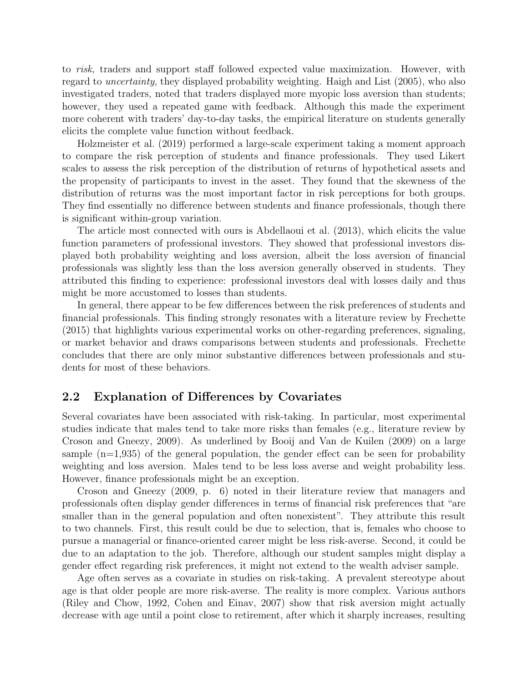to risk, traders and support staff followed expected value maximization. However, with regard to uncertainty, they displayed probability weighting. [Haigh and List \(2005\)](#page-10-6), who also investigated traders, noted that traders displayed more myopic loss aversion than students; however, they used a repeated game with feedback. Although this made the experiment more coherent with traders' day-to-day tasks, the empirical literature on students generally elicits the complete value function without feedback.

[Holzmeister et al. \(2019\)](#page-10-7) performed a large-scale experiment taking a moment approach to compare the risk perception of students and finance professionals. They used Likert scales to assess the risk perception of the distribution of returns of hypothetical assets and the propensity of participants to invest in the asset. They found that the skewness of the distribution of returns was the most important factor in risk perceptions for both groups. They find essentially no difference between students and finance professionals, though there is significant within-group variation.

The article most connected with ours is [Abdellaoui et al. \(2013\)](#page-10-8), which elicits the value function parameters of professional investors. They showed that professional investors displayed both probability weighting and loss aversion, albeit the loss aversion of financial professionals was slightly less than the loss aversion generally observed in students. They attributed this finding to experience: professional investors deal with losses daily and thus might be more accustomed to losses than students.

In general, there appear to be few differences between the risk preferences of students and financial professionals. This finding strongly resonates with a literature review by [Frechette](#page-10-9) [\(2015\)](#page-10-9) that highlights various experimental works on other-regarding preferences, signaling, or market behavior and draws comparisons between students and professionals. Frechette concludes that there are only minor substantive differences between professionals and students for most of these behaviors.

#### 2.2 Explanation of Differences by Covariates

Several covariates have been associated with risk-taking. In particular, most experimental studies indicate that males tend to take more risks than females (e.g., literature review by [Croson and Gneezy, 2009\)](#page-10-10). As underlined by [Booij and Van de Kuilen \(2009\)](#page-10-11) on a large sample  $(n=1,935)$  of the general population, the gender effect can be seen for probability weighting and loss aversion. Males tend to be less loss averse and weight probability less. However, finance professionals might be an exception.

[Croson and Gneezy \(2009,](#page-10-10) p. 6) noted in their literature review that managers and professionals often display gender differences in terms of financial risk preferences that "are smaller than in the general population and often nonexistent". They attribute this result to two channels. First, this result could be due to selection, that is, females who choose to pursue a managerial or finance-oriented career might be less risk-averse. Second, it could be due to an adaptation to the job. Therefore, although our student samples might display a gender effect regarding risk preferences, it might not extend to the wealth adviser sample.

Age often serves as a covariate in studies on risk-taking. A prevalent stereotype about age is that older people are more risk-averse. The reality is more complex. Various authors [\(Riley and Chow, 1992,](#page-10-12) [Cohen and Einav, 2007\)](#page-10-13) show that risk aversion might actually decrease with age until a point close to retirement, after which it sharply increases, resulting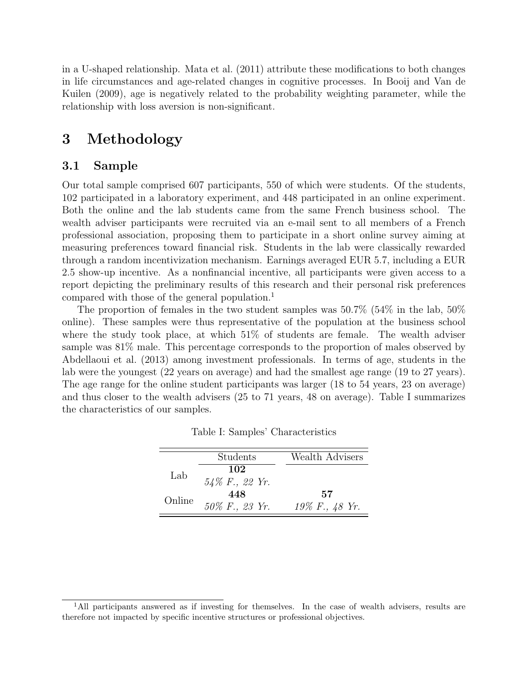in a U-shaped relationship. [Mata et al. \(2011\)](#page-10-14) attribute these modifications to both changes in life circumstances and age-related changes in cognitive processes. In Booij [and Van de](#page-10-11) [Kuilen \(2009\)](#page-10-11), age is negatively related to the probability weighting parameter, while the relationship with loss aversion is non-significant.

## 3 Methodology

#### 3.1 Sample

Our total sample comprised 607 participants, 550 of which were students. Of the students, 102 participated in a laboratory experiment, and 448 participated in an online experiment. Both the online and the lab students came from the same French business school. The wealth adviser participants were recruited via an e-mail sent to all members of a French professional association, proposing them to participate in a short online survey aiming at measuring preferences toward financial risk. Students in the lab were classically rewarded through a random incentivization mechanism. Earnings averaged EUR 5.7, including a EUR 2.5 show-up incentive. As a nonfinancial incentive, all participants were given access to a report depicting the preliminary results of this research and their personal risk preferences compared with those of the general population.<sup>[1](#page-1-0)</sup>

The proportion of females in the two student samples was 50.7% (54% in the lab, 50% online). These samples were thus representative of the population at the business school where the study took place, at which 51% of students are female. The wealth adviser sample was 81% male. This percentage corresponds to the proportion of males observed by [Abdellaoui et al. \(2013\)](#page-10-8) among investment professionals. In terms of age, students in the lab were the youngest (22 years on average) and had the smallest age range (19 to 27 years). The age range for the online student participants was larger (18 to 54 years, 23 on average) and thus closer to the wealth advisers (25 to 71 years, 48 on average). Table [I](#page-3-0) summarizes the characteristics of our samples.

<span id="page-3-0"></span>

|        | Students          | Wealth Advisers   |
|--------|-------------------|-------------------|
| Lab    | 102               |                   |
|        | $54\%$ F., 22 Yr. |                   |
| Online | 448               | 57                |
|        | 50% F., 23 Yr.    | $19\%$ F., 48 Yr. |

|  |  | Table I: Samples' Characteristics |  |
|--|--|-----------------------------------|--|
|--|--|-----------------------------------|--|

<sup>&</sup>lt;sup>1</sup>All participants answered as if investing for themselves. In the case of wealth advisers, results are therefore not impacted by specific incentive structures or professional objectives.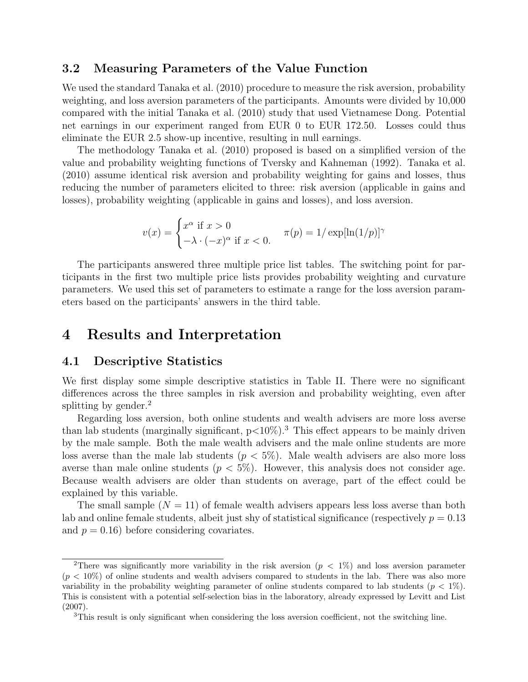#### 3.2 Measuring Parameters of the Value Function

We used the standard [Tanaka et al. \(2010\)](#page-10-15) procedure to measure the risk aversion, probability weighting, and loss aversion parameters of the participants. Amounts were divided by 10,000 compared with the initial [Tanaka et al. \(2010\)](#page-10-15) study that used Vietnamese Dong. Potential net earnings in our experiment ranged from EUR 0 to EUR 172.50. Losses could thus eliminate the EUR 2.5 show-up incentive, resulting in null earnings.

The methodology [Tanaka et al. \(2010\)](#page-10-15) proposed is based on a simplified version of the value and probability weighting functions of [Tversky and Kahneman \(1992\)](#page-10-16). [Tanaka et](#page-10-15) al. [\(2010\)](#page-10-15) assume identical risk aversion and probability weighting for gains and losses, thus reducing the number of parameters elicited to three: risk aversion (applicable in gains and losses), probability weighting (applicable in gains and losses), and loss aversion.

$$
v(x) = \begin{cases} x^{\alpha} \text{ if } x > 0\\ -\lambda \cdot (-x)^{\alpha} \text{ if } x < 0. \end{cases} \quad \pi(p) = 1/\exp[\ln(1/p)]^{\gamma}
$$

The participants answered three multiple price list tables. The switching point for participants in the first two multiple price lists provides probability weighting and curvature parameters. We used this set of parameters to estimate a range for the loss aversion parameters based on the participants' answers in the third table.

### 4 Results and Interpretation

#### 4.1 Descriptive Statistics

We first display some simple descriptive statistics in Table [II.](#page-5-0) There were no significant differences across the three samples in risk aversion and probability weighting, even after splitting by gender.<sup>[2](#page-1-0)</sup>

Regarding loss aversion, both online students and wealth advisers are more loss averse than lab students (marginally significant,  $p<10\%$ ).<sup>[3](#page-1-0)</sup> This effect appears to be mainly driven by the male sample. Both the male wealth advisers and the male online students are more loss averse than the male lab students ( $p < 5\%$ ). Male wealth advisers are also more loss averse than male online students ( $p < 5\%$ ). However, this analysis does not consider age. Because wealth advisers are older than students on average, part of the effect could be explained by this variable.

The small sample  $(N = 11)$  of female wealth advisers appears less loss averse than both lab and online female students, albeit just shy of statistical significance (respectively  $p = 0.13$ and  $p = 0.16$ ) before considering covariates.

<sup>&</sup>lt;sup>2</sup>There was significantly more variability in the risk aversion ( $p < 1\%$ ) and loss aversion parameter  $(p < 10\%)$  of online students and wealth advisers compared to students in the lab. There was also more variability in the probability weighting parameter of online students compared to lab students ( $p < 1\%$ ). This is consistent with a potential self-selection bias in the laboratory, already expressed by [Levitt and List](#page-10-0) [\(2007\)](#page-10-0).

<sup>3</sup>This result is only significant when considering the loss aversion coefficient, not the switching line.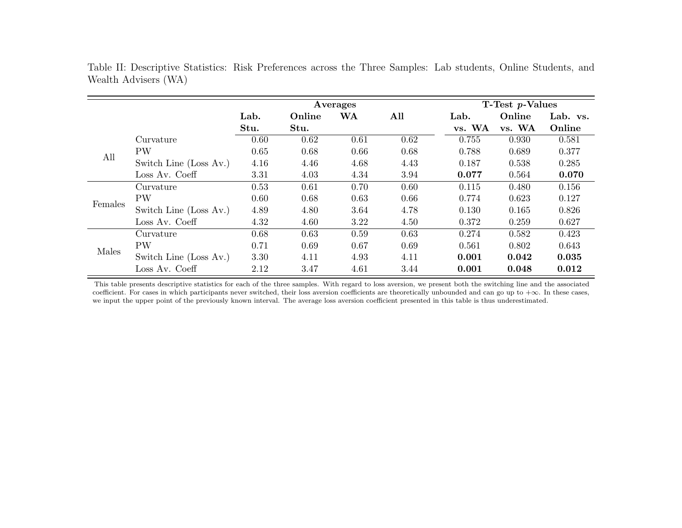|                         |                                                                                                                                                                                                                                                                                                          | Averages |        |      |      |                                                                                                                                                                                      |        |          |
|-------------------------|----------------------------------------------------------------------------------------------------------------------------------------------------------------------------------------------------------------------------------------------------------------------------------------------------------|----------|--------|------|------|--------------------------------------------------------------------------------------------------------------------------------------------------------------------------------------|--------|----------|
|                         |                                                                                                                                                                                                                                                                                                          | Lab.     | Online | WA   | All  | Lab.                                                                                                                                                                                 | Online | Lab. vs. |
|                         |                                                                                                                                                                                                                                                                                                          | Stu.     | Stu.   |      |      | vs. WA                                                                                                                                                                               | vs. WA | Online   |
|                         | Curvature                                                                                                                                                                                                                                                                                                | 0.60     | 0.62   | 0.61 | 0.62 | 0.755                                                                                                                                                                                | 0.930  | 0.581    |
|                         | <b>PW</b><br>0.65<br>0.66<br>0.788<br>0.68<br>0.68<br>4.16<br>4.68<br>4.43<br>4.46<br>0.187<br>3.31<br>4.34<br>3.94<br>0.077<br>4.03<br>0.70<br>0.53<br>0.61<br>0.60<br>0.115<br>0.60<br>0.66<br>0.774<br>0.68<br>0.63<br>4.89<br>4.78<br>0.130<br>4.80<br>3.64<br>4.32<br>3.22<br>4.50<br>4.60<br>0.372 | 0.689    | 0.377  |      |      |                                                                                                                                                                                      |        |          |
|                         | Switch Line (Loss Av.)                                                                                                                                                                                                                                                                                   |          |        |      |      |                                                                                                                                                                                      | 0.538  | 0.285    |
|                         | Loss Av. Coeff                                                                                                                                                                                                                                                                                           |          |        |      |      |                                                                                                                                                                                      | 0.564  | 0.070    |
|                         | Curvature                                                                                                                                                                                                                                                                                                |          |        |      |      |                                                                                                                                                                                      | 0.480  | 0.156    |
|                         | <b>PW</b>                                                                                                                                                                                                                                                                                                |          |        |      |      | $T$ -Test p-Values<br>0.623<br>0.127<br>0.826<br>0.165<br>0.259<br>0.627<br>0.274<br>0.423<br>0.582<br>0.561<br>0.802<br>0.643<br>0.001<br>0.042<br>0.035<br>0.001<br>0.012<br>0.048 |        |          |
| All<br>Females<br>Males | Switch Line (Loss Av.)                                                                                                                                                                                                                                                                                   |          |        |      |      |                                                                                                                                                                                      |        |          |
|                         | Loss Av. Coeff                                                                                                                                                                                                                                                                                           |          |        |      |      |                                                                                                                                                                                      |        |          |
|                         | Curvature                                                                                                                                                                                                                                                                                                | 0.68     | 0.63   | 0.59 | 0.63 |                                                                                                                                                                                      |        |          |
|                         | <b>PW</b>                                                                                                                                                                                                                                                                                                | 0.71     | 0.69   | 0.67 | 0.69 |                                                                                                                                                                                      |        |          |
|                         | Switch Line (Loss Av.)                                                                                                                                                                                                                                                                                   | 3.30     | 4.11   | 4.93 | 4.11 |                                                                                                                                                                                      |        |          |
|                         | Loss Av. Coeff                                                                                                                                                                                                                                                                                           | 2.12     | 3.47   | 4.61 | 3.44 |                                                                                                                                                                                      |        |          |

<span id="page-5-0"></span>Table II: Descriptive Statistics: Risk Preferences across the Three Samples: Lab students, Online Students, and Wealth Advisers (WA)

This table presents descriptive statistics for each of the three samples. With regard to loss aversion, we present both the switching line and the associated coefficient. For cases in which participants never switched, their loss aversion coefficients are theoretically unbounded and can go up to  $+\infty$ . In these cases, we input the upper point of the previously known interval. The average loss aversion coefficient presented in this table is thus underestimated.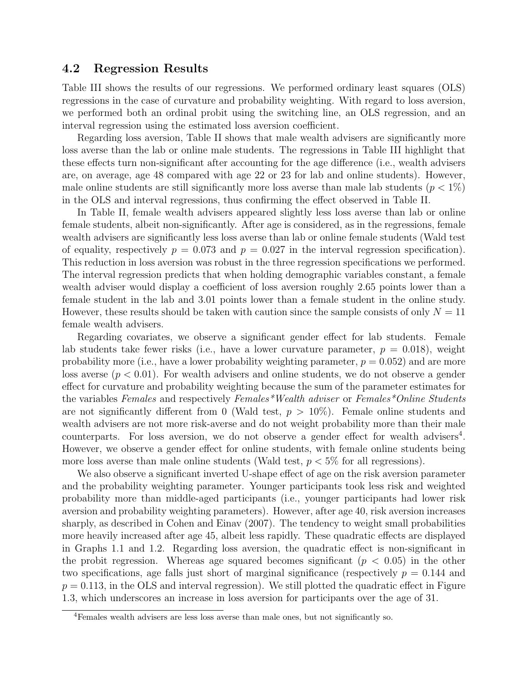#### 4.2 Regression Results

Table [III](#page-8-0) shows the results of our regressions. We performed ordinary least squares (OLS) regressions in the case of curvature and probability weighting. With regard to loss aversion, we performed both an ordinal probit using the switching line, an OLS regression, and an interval regression using the estimated loss aversion coefficient.

Regarding loss aversion, Table [II](#page-5-0) shows that male wealth advisers are significantly more loss averse than the lab or online male students. The regressions in Table [III](#page-8-0) highlight that these effects turn non-significant after accounting for the age difference (i.e., wealth advisers are, on average, age 48 compared with age 22 or 23 for lab and online students). However, male online students are still significantly more loss averse than male lab students ( $p < 1\%$ ) in the OLS and interval regressions, thus confirming the effect observed in Table [II.](#page-5-0)

In Table [II,](#page-5-0) female wealth advisers appeared slightly less loss averse than lab or online female students, albeit non-significantly. After age is considered, as in the regressions, female wealth advisers are significantly less loss averse than lab or online female students (Wald test of equality, respectively  $p = 0.073$  and  $p = 0.027$  in the interval regression specification). This reduction in loss aversion was robust in the three regression specifications we performed. The interval regression predicts that when holding demographic variables constant, a female wealth adviser would display a coefficient of loss aversion roughly 2.65 points lower than a female student in the lab and 3.01 points lower than a female student in the online study. However, these results should be taken with caution since the sample consists of only  $N = 11$ female wealth advisers.

Regarding covariates, we observe a significant gender effect for lab students. Female lab students take fewer risks (i.e., have a lower curvature parameter,  $p = 0.018$ ), weight probability more (i.e., have a lower probability weighting parameter,  $p = 0.052$ ) and are more loss averse  $(p < 0.01)$ . For wealth advisers and online students, we do not observe a gender effect for curvature and probability weighting because the sum of the parameter estimates for the variables Females and respectively Females\*Wealth adviser or Females\*Online Students are not significantly different from 0 (Wald test,  $p > 10\%$ ). Female online students and wealth advisers are not more risk-averse and do not weight probability more than their male counterparts. For loss aversion, we do not observe a gender effect for wealth advisers<sup>[4](#page-1-0)</sup>. However, we observe a gender effect for online students, with female online students being more loss averse than male online students (Wald test,  $p < 5\%$  for all regressions).

We also observe a significant inverted U-shape effect of age on the risk aversion parameter and the probability weighting parameter. Younger participants took less risk and weighted probability more than middle-aged participants (i.e., younger participants had lower risk aversion and probability weighting parameters). However, after age 40, risk aversion increases sharply, as described in [Cohen and Einav \(2007\)](#page-10-13). The tendency to weight small probabilities more heavily increased after age 45, albeit less rapidly. These quadratic effects are displayed in Graphs [1.1](#page-9-0) and [1.2.](#page-9-0) Regarding loss aversion, the quadratic effect is non-significant in the probit regression. Whereas age squared becomes significant  $(p < 0.05)$  in the other two specifications, age falls just short of marginal significance (respectively  $p = 0.144$  and  $p = 0.113$ , in the OLS and interval regression). We still plotted the quadratic effect in Figure [1.3,](#page-9-0) which underscores an increase in loss aversion for participants over the age of 31.

<sup>4</sup>Females wealth advisers are less loss averse than male ones, but not significantly so.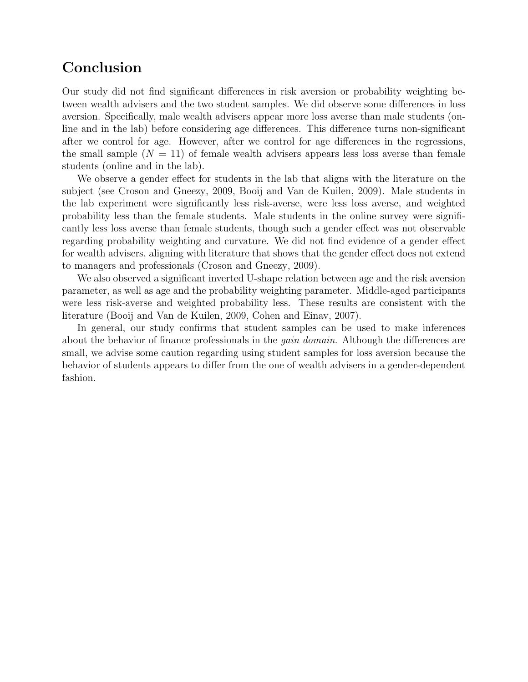# Conclusion

Our study did not find significant differences in risk aversion or probability weighting between wealth advisers and the two student samples. We did observe some differences in loss aversion. Specifically, male wealth advisers appear more loss averse than male students (online and in the lab) before considering age differences. This difference turns non-significant after we control for age. However, after we control for age differences in the regressions, the small sample  $(N = 11)$  of female wealth advisers appears less loss averse than female students (online and in the lab).

We observe a gender effect for students in the lab that aligns with the literature on the subject (see [Croson and Gneezy, 2009,](#page-10-10) [Booij and Van de Kuilen, 2009\)](#page-10-11). Male students in the lab experiment were significantly less risk-averse, were less loss averse, and weighted probability less than the female students. Male students in the online survey were significantly less loss averse than female students, though such a gender effect was not observable regarding probability weighting and curvature. We did not find evidence of a gender effect for wealth advisers, aligning with literature that shows that the gender effect does not extend to managers and professionals [\(Croson and Gneezy, 2009\)](#page-10-10).

We also observed a significant inverted U-shape relation between age and the risk aversion parameter, as well as age and the probability weighting parameter. Middle-aged participants were less risk-averse and weighted probability less. These results are consistent with the literature [\(Booij and Van de Kuilen, 2009,](#page-10-11) [Cohen and Einav, 2007\)](#page-10-13).

In general, our study confirms that student samples can be used to make inferences about the behavior of finance professionals in the *gain domain*. Although the differences are small, we advise some caution regarding using student samples for loss aversion because the behavior of students appears to differ from the one of wealth advisers in a gender-dependent fashion.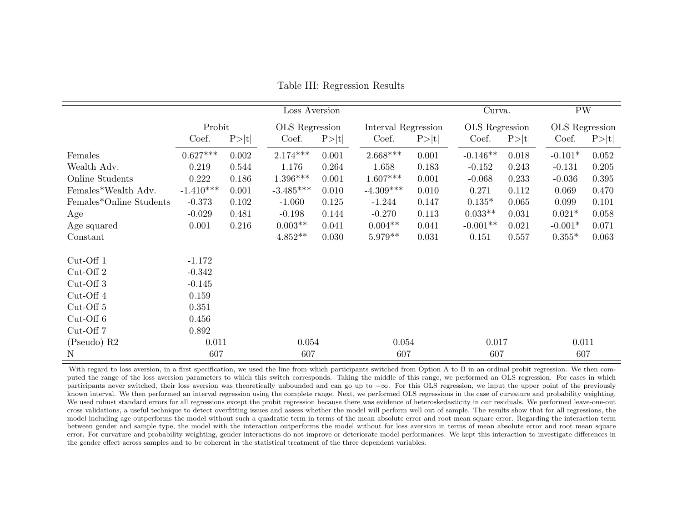|                         | Loss Aversion |       |                |       |                     | Curva. |                | <b>PW</b> |                |       |
|-------------------------|---------------|-------|----------------|-------|---------------------|--------|----------------|-----------|----------------|-------|
|                         | Probit        |       | OLS Regression |       | Interval Regression |        | OLS Regression |           | OLS Regression |       |
|                         | Coef.         | P> t  | Coef.          | P> t  | Coef.               | P> t   | Coef.          | P> t      | Coef.          | P> t  |
| Females                 | $0.627***$    | 0.002 | $2.174***$     | 0.001 | $2.668***$          | 0.001  | $-0.146**$     | 0.018     | $-0.101*$      | 0.052 |
| Wealth Adv.             | 0.219         | 0.544 | 1.176          | 0.264 | 1.658               | 0.183  | $-0.152$       | 0.243     | $-0.131$       | 0.205 |
| Online Students         | 0.222         | 0.186 | $1.396***$     | 0.001 | $1.607***$          | 0.001  | $-0.068$       | 0.233     | $-0.036$       | 0.395 |
| Females*Wealth Adv.     | $-1.410***$   | 0.001 | $-3.485***$    | 0.010 | $-4.309***$         | 0.010  | 0.271          | 0.112     | 0.069          | 0.470 |
| Females*Online Students | $-0.373$      | 0.102 | $-1.060$       | 0.125 | $-1.244$            | 0.147  | $0.135*$       | 0.065     | 0.099          | 0.101 |
| Age                     | $-0.029$      | 0.481 | $-0.198$       | 0.144 | $-0.270$            | 0.113  | $0.033**$      | 0.031     | $0.021*$       | 0.058 |
| Age squared             | 0.001         | 0.216 | $0.003**$      | 0.041 | $0.004**$           | 0.041  | $-0.001**$     | 0.021     | $-0.001*$      | 0.071 |
| Constant                |               |       | $4.852**$      | 0.030 | $5.979**$           | 0.031  | 0.151          | 0.557     | $0.355*$       | 0.063 |
| $Cut$ -Off 1            | $-1.172$      |       |                |       |                     |        |                |           |                |       |
| $Cut$ -Off 2            | $-0.342$      |       |                |       |                     |        |                |           |                |       |
| $Cut$ -Off 3            | $-0.145$      |       |                |       |                     |        |                |           |                |       |
| $Cut$ -Off 4            | 0.159         |       |                |       |                     |        |                |           |                |       |
| $Cut$ -Off $5$          | 0.351         |       |                |       |                     |        |                |           |                |       |
| $Cut$ -Off $6$          | 0.456         |       |                |       |                     |        |                |           |                |       |
| Cut-Off 7               | 0.892         |       |                |       |                     |        |                |           |                |       |
| (Pseudo) R2             | 0.011         |       | 0.054          |       | 0.054               |        | 0.017          |           | 0.011          |       |
| $\mathbf N$             | 607           |       | 607            |       | 607                 |        | 607            |           | 607            |       |

Table III: Regression Results

<span id="page-8-0"></span>With regard to loss aversion, in a first specification, we used the line from which participants switched from Option A to B in an ordinal probit regression. We then computed the range of the loss aversion parameters to which this switch corresponds. Taking the middle of this range, we performed an OLS regression. For cases in which participants never switched, their loss aversion was theoretically unbounded and can go up to  $+\infty$ . For this OLS regression, we input the upper point of the previously known interval. We then performed an interval regression using the complete range. Next, we performed OLS regressions in the case of curvature and probability weighting. We used robust standard errors for all regressions except the probit regression because there was evidence of heteroskedasticity in our residuals. We performed leave-one-out cross validations, a useful technique to detect overfitting issues and assess whether the model will perform well out of sample. The results show that for all regressions, the model including age outperforms the model without such a quadratic term in terms of the mean absolute error and root mean square error. Regarding the interaction term between gender and sample type, the model with the interaction outperforms the model without for loss aversion in terms of mean absolute error and root mean square error. For curvature and probability weighting, gender interactions do not improve or deteriorate model performances. We kept this interaction to investigate differences in the gender effect across samples and to be coherent in the statistical treatment of the three dependent variables.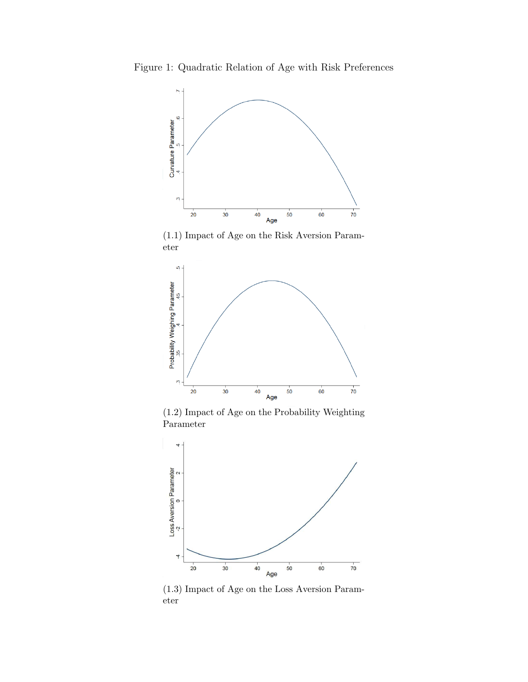<span id="page-9-0"></span>Figure 1: Quadratic Relation of Age with Risk Preferences



(1.1) Impact of Age on the Risk Aversion Parameter



(1.2) Impact of Age on the Probability Weighting Parameter



(1.3) Impact of Age on the Loss Aversion Parameter